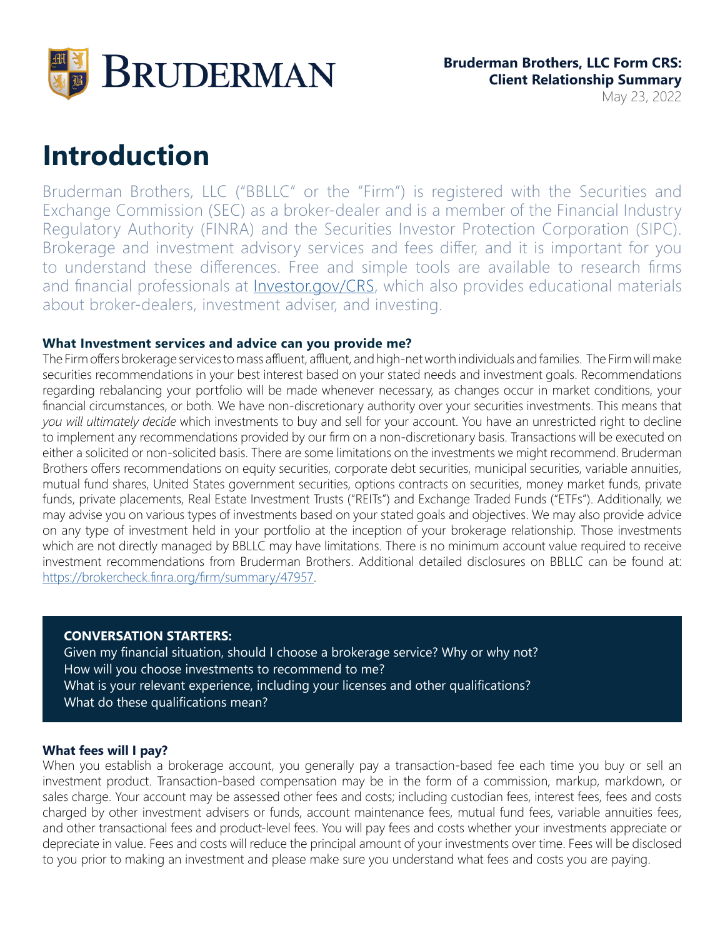

### May 23, 2022

# **Introduction**

Bruderman Brothers, LLC ("BBLLC" or the "Firm") is registered with the Securities and Exchange Commission (SEC) as a broker-dealer and is a member of the Financial Industry Regulatory Authority (FINRA) and the Securities Investor Protection Corporation (SIPC). Brokerage and investment advisory services and fees differ, and it is important for you to understand these differences. Free and simple tools are available to research firms and financial professionals at *[Investor.gov/CRS](https://www.investor.gov/CRS)*, which also provides educational materials about broker-dealers, investment adviser, and investing.

#### **What Investment services and advice can you provide me?**

The Firm offers brokerage services to mass affluent, affluent, and high-net worth individuals and families. The Firm will make securities recommendations in your best interest based on your stated needs and investment goals. Recommendations regarding rebalancing your portfolio will be made whenever necessary, as changes occur in market conditions, your financial circumstances, or both. We have non-discretionary authority over your securities investments. This means that *you will ultimately decide* which investments to buy and sell for your account. You have an unrestricted right to decline to implement any recommendations provided by our firm on a non-discretionary basis. Transactions will be executed on either a solicited or non-solicited basis. There are some limitations on the investments we might recommend. Bruderman Brothers offers recommendations on equity securities, corporate debt securities, municipal securities, variable annuities, mutual fund shares, United States government securities, options contracts on securities, money market funds, private funds, private placements, Real Estate Investment Trusts ("REITs") and Exchange Traded Funds ("ETFs"). Additionally, we may advise you on various types of investments based on your stated goals and objectives. We may also provide advice on any type of investment held in your portfolio at the inception of your brokerage relationship. Those investments which are not directly managed by BBLLC may have limitations. There is no minimum account value required to receive investment recommendations from Bruderman Brothers. Additional detailed disclosures on BBLLC can be found at: <https://brokercheck.finra.org/firm/summary/47957>.

#### **CONVERSATION STARTERS:**

Given my financial situation, should I choose a brokerage service? Why or why not? How will you choose investments to recommend to me? What is your relevant experience, including your licenses and other qualifications? What do these qualifications mean?

#### **What fees will I pay?**

When you establish a brokerage account, you generally pay a transaction-based fee each time you buy or sell an investment product. Transaction-based compensation may be in the form of a commission, markup, markdown, or sales charge. Your account may be assessed other fees and costs; including custodian fees, interest fees, fees and costs charged by other investment advisers or funds, account maintenance fees, mutual fund fees, variable annuities fees, and other transactional fees and product-level fees. You will pay fees and costs whether your investments appreciate or depreciate in value. Fees and costs will reduce the principal amount of your investments over time. Fees will be disclosed to you prior to making an investment and please make sure you understand what fees and costs you are paying.